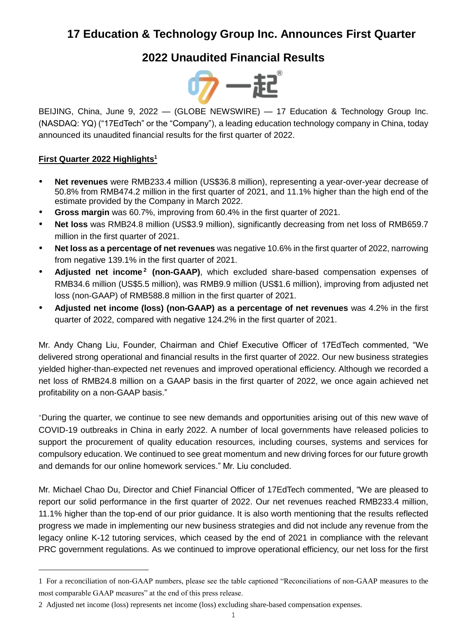# **17 Education & Technology Group Inc. Announces First Quarter**

# **2022 Unaudited Financial Results**



BEIJING, China, June 9, 2022 — (GLOBE NEWSWIRE) — 17 Education & Technology Group Inc. (NASDAQ: YQ) ("17EdTech" or the "Company"), a leading education technology company in China, today announced its unaudited financial results for the first quarter of 2022.

# **First Quarter 2022 Highlights<sup>1</sup>**

 $\overline{a}$ 

- **Net revenues** were RMB233.4 million (US\$36.8 million), representing a year-over-year decrease of 50.8% from RMB474.2 million in the first quarter of 2021, and 11.1% higher than the high end of the estimate provided by the Company in March 2022.
- **Gross margin** was 60.7%, improving from 60.4% in the first quarter of 2021.
- **Net loss** was RMB24.8 million (US\$3.9 million), significantly decreasing from net loss of RMB659.7 million in the first quarter of 2021.
- **Net loss as a percentage of net revenues** was negative 10.6% in the first quarter of 2022, narrowing from negative 139.1% in the first quarter of 2021.
- Adjusted net income<sup>2</sup> (non-GAAP), which excluded share-based compensation expenses of RMB34.6 million (US\$5.5 million), was RMB9.9 million (US\$1.6 million), improving from adjusted net loss (non-GAAP) of RMB588.8 million in the first quarter of 2021.
- **Adjusted net income (loss) (non-GAAP) as a percentage of net revenues** was 4.2% in the first quarter of 2022, compared with negative 124.2% in the first quarter of 2021.

Mr. Andy Chang Liu, Founder, Chairman and Chief Executive Officer of 17EdTech commented, "We delivered strong operational and financial results in the first quarter of 2022. Our new business strategies yielded higher-than-expected net revenues and improved operational efficiency. Although we recorded a net loss of RMB24.8 million on a GAAP basis in the first quarter of 2022, we once again achieved net profitability on a non-GAAP basis."

"During the quarter, we continue to see new demands and opportunities arising out of this new wave of COVID-19 outbreaks in China in early 2022. A number of local governments have released policies to support the procurement of quality education resources, including courses, systems and services for compulsory education. We continued to see great momentum and new driving forces for our future growth and demands for our online homework services." Mr. Liu concluded.

Mr. Michael Chao Du, Director and Chief Financial Officer of 17EdTech commented, "We are pleased to report our solid performance in the first quarter of 2022. Our net revenues reached RMB233.4 million, 11.1% higher than the top-end of our prior guidance. It is also worth mentioning that the results reflected progress we made in implementing our new business strategies and did not include any revenue from the legacy online K-12 tutoring services, which ceased by the end of 2021 in compliance with the relevant PRC government regulations. As we continued to improve operational efficiency, our net loss for the first

<sup>1</sup> For a reconciliation of non-GAAP numbers, please see the table captioned "Reconciliations of non-GAAP measures to the most comparable GAAP measures" at the end of this press release.

<sup>2</sup> Adjusted net income (loss) represents net income (loss) excluding share-based compensation expenses.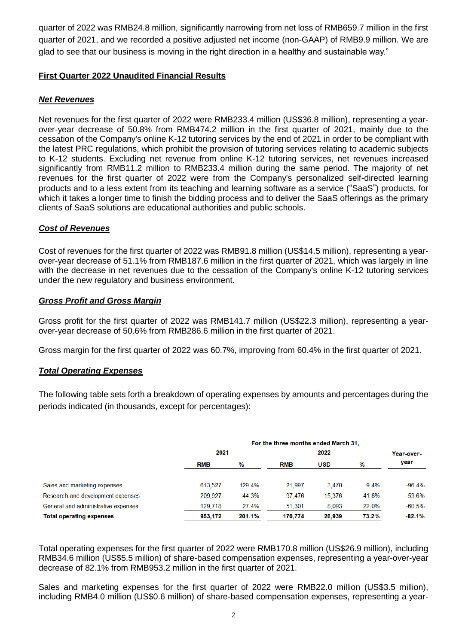quarter of 2022 was RMB24.8 million, significantly narrowing from net loss of RMB659.7 million in the first quarter of 2021, and we recorded a positive adjusted net income (non-GAAP) of RMB9.9 million. We are glad to see that our business is moving in the right direction in a healthy and sustainable way."

#### **First Quarter 2022 Unaudited Financial Results**

#### *Net Revenues*

Net revenues for the first quarter of 2022 were RMB233.4 million (US\$36.8 million), representing a yearover-year decrease of 50.8% from RMB474.2 million in the first quarter of 2021, mainly due to the cessation of the Company's online K-12 tutoring services by the end of 2021 in order to be compliant with the latest PRC regulations, which prohibit the provision of tutoring services relating to academic subjects to K-12 students. Excluding net revenue from online K-12 tutoring services, net revenues increased significantly from RMB11.2 million to RMB233.4 million during the same period. The majority of net revenues for the first quarter of 2022 were from the Company's personalized self-directed learning products and to a less extent from its teaching and learning software as a service ("SaaS") products, for which it takes a longer time to finish the bidding process and to deliver the SaaS offerings as the primary clients of SaaS solutions are educational authorities and public schools.

## *Cost of Revenues*

Cost of revenues for the first quarter of 2022 was RMB91.8 million (US\$14.5 million), representing a yearover-year decrease of 51.1% from RMB187.6 million in the first quarter of 2021, which was largely in line with the decrease in net revenues due to the cessation of the Company's online K-12 tutoring services under the new regulatory and business environment.

#### *Gross Profit and Gross Margin*

Gross profit for the first quarter of 2022 was RMB141.7 million (US\$22.3 million), representing a yearover-year decrease of 50.6% from RMB286.6 million in the first quarter of 2021.

Gross margin for the first quarter of 2022 was 60.7%, improving from 60.4% in the first quarter of 2021.

# *Total Operating Expenses*

The following table sets forth a breakdown of operating expenses by amounts and percentages during the periods indicated (in thousands, except for percentages):

|                                     | For the three months ended March 31. |        |            |            |       |            |
|-------------------------------------|--------------------------------------|--------|------------|------------|-------|------------|
|                                     | 2021                                 |        | 2022       |            |       | Year-over- |
|                                     | <b>RMB</b>                           | %      | <b>RMB</b> | <b>USD</b> | %     | year       |
| Sales and marketing expenses        | 613.527                              | 129.4% | 21.997     | 3.470      | 9.4%  | $-96.4%$   |
| Research and development expenses   | 209.927                              | 44.3%  | 97.476     | 15.376     | 41.8% | $-53.6%$   |
| General and administrative expenses | 129,718                              | 27.4%  | 51,301     | 8.093      | 22.0% | $-60.5%$   |
| <b>Total operating expenses</b>     | 953,172                              | 201.1% | 170,774    | 26,939     | 73.2% | $-82.1%$   |

Total operating expenses for the first quarter of 2022 were RMB170.8 million (US\$26.9 million), including RMB34.6 million (US\$5.5 million) of share-based compensation expenses, representing a year-over-year decrease of 82.1% from RMB953.2 million in the first quarter of 2021.

Sales and marketing expenses for the first quarter of 2022 were RMB22.0 million (US\$3.5 million), including RMB4.0 million (US\$0.6 million) of share-based compensation expenses, representing a year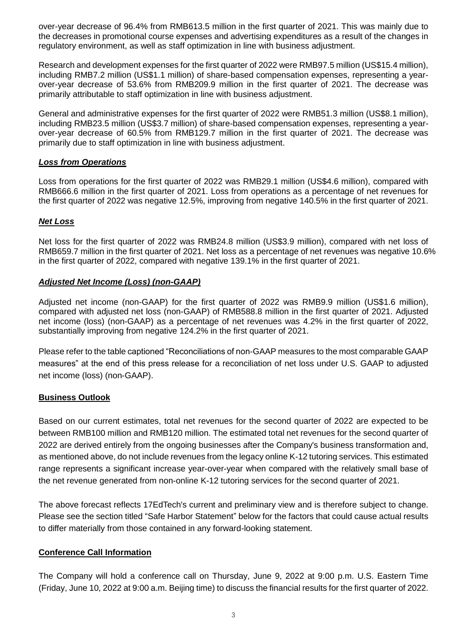over-year decrease of 96.4% from RMB613.5 million in the first quarter of 2021. This was mainly due to the decreases in promotional course expenses and advertising expenditures as a result of the changes in regulatory environment, as well as staff optimization in line with business adjustment.

Research and development expenses for the first quarter of 2022 were RMB97.5 million (US\$15.4 million), including RMB7.2 million (US\$1.1 million) of share-based compensation expenses, representing a yearover-year decrease of 53.6% from RMB209.9 million in the first quarter of 2021. The decrease was primarily attributable to staff optimization in line with business adjustment.

General and administrative expenses for the first quarter of 2022 were RMB51.3 million (US\$8.1 million), including RMB23.5 million (US\$3.7 million) of share-based compensation expenses, representing a yearover-year decrease of 60.5% from RMB129.7 million in the first quarter of 2021. The decrease was primarily due to staff optimization in line with business adjustment.

#### *Loss from Operations*

Loss from operations for the first quarter of 2022 was RMB29.1 million (US\$4.6 million), compared with RMB666.6 million in the first quarter of 2021. Loss from operations as a percentage of net revenues for the first quarter of 2022 was negative 12.5%, improving from negative 140.5% in the first quarter of 2021.

## *Net Loss*

Net loss for the first quarter of 2022 was RMB24.8 million (US\$3.9 million), compared with net loss of RMB659.7 million in the first quarter of 2021. Net loss as a percentage of net revenues was negative 10.6% in the first quarter of 2022, compared with negative 139.1% in the first quarter of 2021.

## *Adjusted Net Income (Loss) (non-GAAP)*

Adjusted net income (non-GAAP) for the first quarter of 2022 was RMB9.9 million (US\$1.6 million), compared with adjusted net loss (non-GAAP) of RMB588.8 million in the first quarter of 2021. Adjusted net income (loss) (non-GAAP) as a percentage of net revenues was 4.2% in the first quarter of 2022, substantially improving from negative 124.2% in the first quarter of 2021.

Please refer to the table captioned "Reconciliations of non-GAAP measures to the most comparable GAAP measures" at the end of this press release for a reconciliation of net loss under U.S. GAAP to adjusted net income (loss) (non-GAAP).

#### **Business Outlook**

Based on our current estimates, total net revenues for the second quarter of 2022 are expected to be between RMB100 million and RMB120 million. The estimated total net revenues for the second quarter of 2022 are derived entirely from the ongoing businesses after the Company's business transformation and, as mentioned above, do not include revenues from the legacy online K-12 tutoring services. This estimated range represents a significant increase year-over-year when compared with the relatively small base of the net revenue generated from non-online K-12 tutoring services for the second quarter of 2021.

The above forecast reflects 17EdTech's current and preliminary view and is therefore subject to change. Please see the section titled "Safe Harbor Statement" below for the factors that could cause actual results to differ materially from those contained in any forward-looking statement.

#### **Conference Call Information**

The Company will hold a conference call on Thursday, June 9, 2022 at 9:00 p.m. U.S. Eastern Time (Friday, June 10, 2022 at 9:00 a.m. Beijing time) to discuss the financial results for the first quarter of 2022.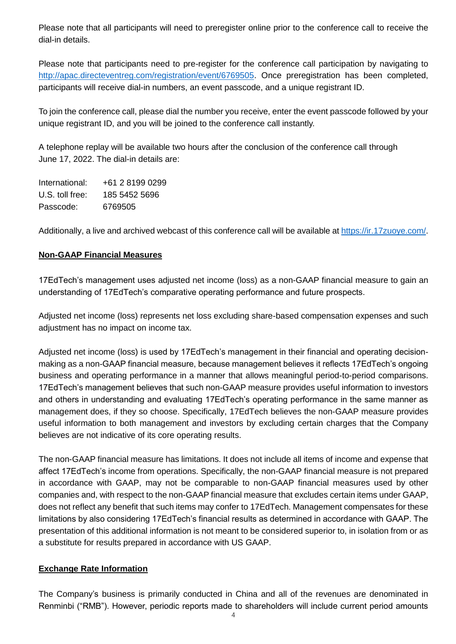Please note that all participants will need to preregister online prior to the conference call to receive the dial-in details.

Please note that participants need to pre-register for the conference call participation by navigating to [http://apac.directeventreg.com/registration/event/6769505.](http://apac.directeventreg.com/registration/event/6769505) Once preregistration has been completed, participants will receive dial-in numbers, an event passcode, and a unique registrant ID.

To join the conference call, please dial the number you receive, enter the event passcode followed by your unique registrant ID, and you will be joined to the conference call instantly.

A telephone replay will be available two hours after the conclusion of the conference call through June 17, 2022. The dial-in details are:

International: +61 2 8199 0299 U.S. toll free: 185 5452 5696 Passcode: 6769505

Additionally, a live and archived webcast of this conference call will be available at [https://ir.17zuoye.com/.](https://ir.17zuoye.com/)

# **Non-GAAP Financial Measures**

17EdTech's management uses adjusted net income (loss) as a non-GAAP financial measure to gain an understanding of 17EdTech's comparative operating performance and future prospects.

Adjusted net income (loss) represents net loss excluding share-based compensation expenses and such adjustment has no impact on income tax.

Adjusted net income (loss) is used by 17EdTech's management in their financial and operating decisionmaking as a non-GAAP financial measure, because management believes it reflects 17EdTech's ongoing business and operating performance in a manner that allows meaningful period-to-period comparisons. 17EdTech's management believes that such non-GAAP measure provides useful information to investors and others in understanding and evaluating 17EdTech's operating performance in the same manner as management does, if they so choose. Specifically, 17EdTech believes the non-GAAP measure provides useful information to both management and investors by excluding certain charges that the Company believes are not indicative of its core operating results.

The non-GAAP financial measure has limitations. It does not include all items of income and expense that affect 17EdTech's income from operations. Specifically, the non-GAAP financial measure is not prepared in accordance with GAAP, may not be comparable to non-GAAP financial measures used by other companies and, with respect to the non-GAAP financial measure that excludes certain items under GAAP, does not reflect any benefit that such items may confer to 17EdTech. Management compensates for these limitations by also considering 17EdTech's financial results as determined in accordance with GAAP. The presentation of this additional information is not meant to be considered superior to, in isolation from or as a substitute for results prepared in accordance with US GAAP.

# **Exchange Rate Information**

The Company's business is primarily conducted in China and all of the revenues are denominated in Renminbi ("RMB"). However, periodic reports made to shareholders will include current period amounts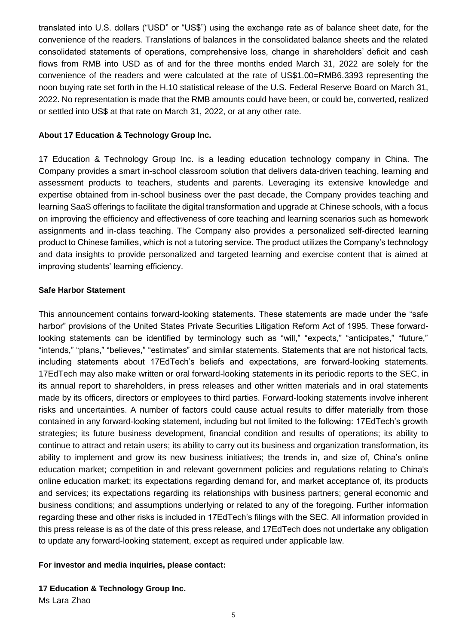translated into U.S. dollars ("USD" or "US\$") using the exchange rate as of balance sheet date, for the convenience of the readers. Translations of balances in the consolidated balance sheets and the related consolidated statements of operations, comprehensive loss, change in shareholders' deficit and cash flows from RMB into USD as of and for the three months ended March 31, 2022 are solely for the convenience of the readers and were calculated at the rate of US\$1.00=RMB6.3393 representing the noon buying rate set forth in the H.10 statistical release of the U.S. Federal Reserve Board on March 31, 2022. No representation is made that the RMB amounts could have been, or could be, converted, realized or settled into US\$ at that rate on March 31, 2022, or at any other rate.

#### **About 17 Education & Technology Group Inc.**

17 Education & Technology Group Inc. is a leading education technology company in China. The Company provides a smart in-school classroom solution that delivers data-driven teaching, learning and assessment products to teachers, students and parents. Leveraging its extensive knowledge and expertise obtained from in-school business over the past decade, the Company provides teaching and learning SaaS offerings to facilitate the digital transformation and upgrade at Chinese schools, with a focus on improving the efficiency and effectiveness of core teaching and learning scenarios such as homework assignments and in-class teaching. The Company also provides a personalized self-directed learning product to Chinese families, which is not a tutoring service. The product utilizes the Company's technology and data insights to provide personalized and targeted learning and exercise content that is aimed at improving students' learning efficiency.

#### **Safe Harbor Statement**

This announcement contains forward-looking statements. These statements are made under the "safe harbor" provisions of the United States Private Securities Litigation Reform Act of 1995. These forwardlooking statements can be identified by terminology such as "will," "expects," "anticipates," "future," "intends," "plans," "believes," "estimates" and similar statements. Statements that are not historical facts, including statements about 17EdTech's beliefs and expectations, are forward-looking statements. 17EdTech may also make written or oral forward-looking statements in its periodic reports to the SEC, in its annual report to shareholders, in press releases and other written materials and in oral statements made by its officers, directors or employees to third parties. Forward-looking statements involve inherent risks and uncertainties. A number of factors could cause actual results to differ materially from those contained in any forward-looking statement, including but not limited to the following: 17EdTech's growth strategies; its future business development, financial condition and results of operations; its ability to continue to attract and retain users; its ability to carry out its business and organization transformation, its ability to implement and grow its new business initiatives; the trends in, and size of, China's online education market; competition in and relevant government policies and regulations relating to China's online education market; its expectations regarding demand for, and market acceptance of, its products and services; its expectations regarding its relationships with business partners; general economic and business conditions; and assumptions underlying or related to any of the foregoing. Further information regarding these and other risks is included in 17EdTech's filings with the SEC. All information provided in this press release is as of the date of this press release, and 17EdTech does not undertake any obligation to update any forward-looking statement, except as required under applicable law.

#### **For investor and media inquiries, please contact:**

**17 Education & Technology Group Inc.**  Ms Lara Zhao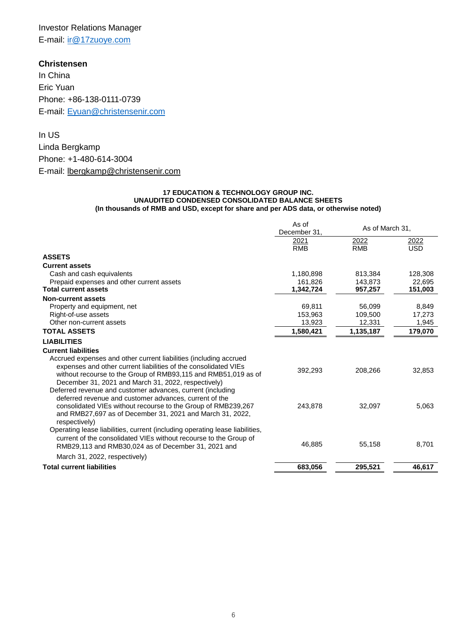# Investor Relations Manager E-mail: [ir@17zuoye.com](mailto:ir@17zuoye.com)

**Christensen** In China Eric Yuan Phone: +86-138-0111-0739 E-mail: [Eyuan@christensenir.com](mailto:Eyuan@christensenir.com)

In US Linda Bergkamp Phone: +1-480-614-3004 E-mail: [lbergkamp@christensenir.com](mailto:lbergkamp@christensenir.com)

#### **17 EDUCATION & TECHNOLOGY GROUP INC. UNAUDITED CONDENSED CONSOLIDATED BALANCE SHEETS (In thousands of RMB and USD, except for share and per ADS data, or otherwise noted)**

|                                                                                                                                                                                                                                                                                                                             | As of<br>December 31 | As of March 31,    |                    |
|-----------------------------------------------------------------------------------------------------------------------------------------------------------------------------------------------------------------------------------------------------------------------------------------------------------------------------|----------------------|--------------------|--------------------|
|                                                                                                                                                                                                                                                                                                                             | 2021<br><b>RMB</b>   | 2022<br><b>RMB</b> | 2022<br><b>USD</b> |
| <b>ASSETS</b>                                                                                                                                                                                                                                                                                                               |                      |                    |                    |
| <b>Current assets</b>                                                                                                                                                                                                                                                                                                       |                      |                    |                    |
| Cash and cash equivalents                                                                                                                                                                                                                                                                                                   | 1,180,898            | 813,384            | 128,308            |
| Prepaid expenses and other current assets                                                                                                                                                                                                                                                                                   | 161.826              | 143.873            | 22.695             |
| <b>Total current assets</b>                                                                                                                                                                                                                                                                                                 | 1,342,724            | 957,257            | 151,003            |
| <b>Non-current assets</b>                                                                                                                                                                                                                                                                                                   |                      |                    |                    |
| Property and equipment, net                                                                                                                                                                                                                                                                                                 | 69,811               | 56,099             | 8,849              |
| Right-of-use assets                                                                                                                                                                                                                                                                                                         | 153,963              | 109,500            | 17,273             |
| Other non-current assets                                                                                                                                                                                                                                                                                                    | 13,923               | 12,331             | 1,945              |
| <b>TOTAL ASSETS</b>                                                                                                                                                                                                                                                                                                         | 1,580,421            | 1,135,187          | 179,070            |
| <b>LIABILITIES</b>                                                                                                                                                                                                                                                                                                          |                      |                    |                    |
| <b>Current liabilities</b>                                                                                                                                                                                                                                                                                                  |                      |                    |                    |
| Accrued expenses and other current liabilities (including accrued<br>expenses and other current liabilities of the consolidated VIEs<br>without recourse to the Group of RMB93,115 and RMB51,019 as of<br>December 31, 2021 and March 31, 2022, respectively)<br>Deferred revenue and customer advances, current (including | 392,293              | 208,266            | 32,853             |
| deferred revenue and customer advances, current of the<br>consolidated VIEs without recourse to the Group of RMB239,267<br>and RMB27,697 as of December 31, 2021 and March 31, 2022,<br>respectively)                                                                                                                       | 243,878              | 32,097             | 5,063              |
| Operating lease liabilities, current (including operating lease liabilities,<br>current of the consolidated VIEs without recourse to the Group of<br>RMB29,113 and RMB30,024 as of December 31, 2021 and                                                                                                                    | 46,885               | 55,158             | 8,701              |
| March 31, 2022, respectively)                                                                                                                                                                                                                                                                                               |                      |                    |                    |
| <b>Total current liabilities</b>                                                                                                                                                                                                                                                                                            | 683,056              | 295,521            | 46,617             |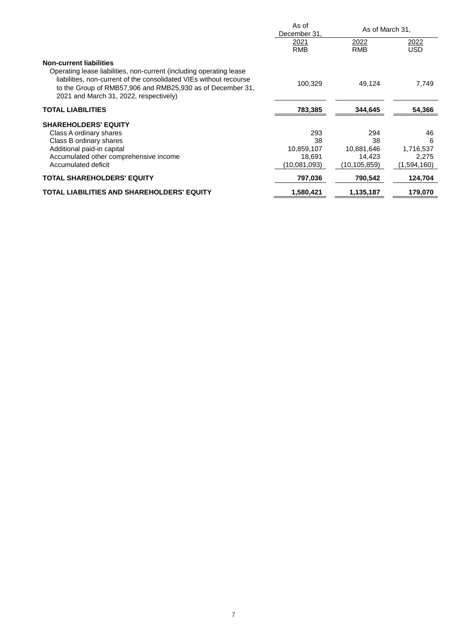|                                                                                                                                                                                                                                                   | As of<br>December 31, | As of March 31,           |                    |
|---------------------------------------------------------------------------------------------------------------------------------------------------------------------------------------------------------------------------------------------------|-----------------------|---------------------------|--------------------|
|                                                                                                                                                                                                                                                   | 2021<br><b>RMB</b>    | <u>2022</u><br><b>RMB</b> | 2022<br><b>USD</b> |
| <b>Non-current liabilities</b>                                                                                                                                                                                                                    |                       |                           |                    |
| Operating lease liabilities, non-current (including operating lease<br>liabilities, non-current of the consolidated VIEs without recourse<br>to the Group of RMB57,906 and RMB25,930 as of December 31,<br>2021 and March 31, 2022, respectively) | 100.329               | 49,124                    | 7,749              |
| <b>TOTAL LIABILITIES</b>                                                                                                                                                                                                                          | 783,385               | 344,645                   | 54,366             |
| <b>SHAREHOLDERS' EQUITY</b>                                                                                                                                                                                                                       |                       |                           |                    |
| Class A ordinary shares                                                                                                                                                                                                                           | 293                   | 294                       | 46                 |
| Class B ordinary shares                                                                                                                                                                                                                           | 38                    | 38                        | 6                  |
| Additional paid-in capital                                                                                                                                                                                                                        | 10,859,107            | 10,881,646                | 1,716,537          |
| Accumulated other comprehensive income                                                                                                                                                                                                            | 18.691                | 14.423                    | 2,275              |
| Accumulated deficit                                                                                                                                                                                                                               | (10,081,093)          | (10, 105, 859)            | (1,594,160)        |
| <b>TOTAL SHAREHOLDERS' EQUITY</b>                                                                                                                                                                                                                 | 797,036               | 790,542                   | 124,704            |
| TOTAL LIABILITIES AND SHAREHOLDERS' EQUITY                                                                                                                                                                                                        | 1,580,421             | 1,135,187                 | 179,070            |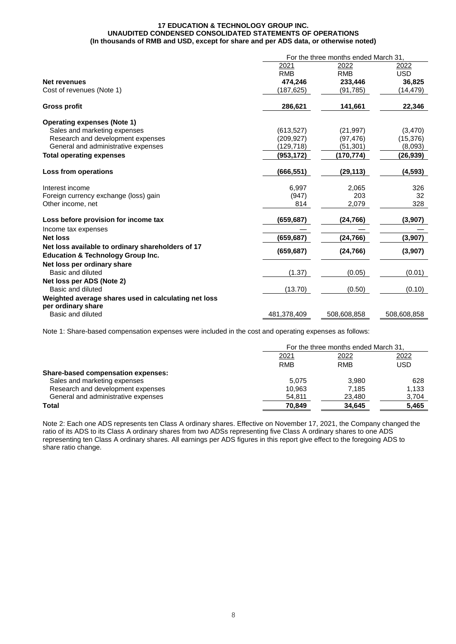#### **17 EDUCATION & TECHNOLOGY GROUP INC. UNAUDITED CONDENSED CONSOLIDATED STATEMENTS OF OPERATIONS (In thousands of RMB and USD, except for share and per ADS data, or otherwise noted)**

|                                                                                                   | For the three months ended March 31. |             |             |  |
|---------------------------------------------------------------------------------------------------|--------------------------------------|-------------|-------------|--|
|                                                                                                   | 2021                                 | 2022        | 2022        |  |
|                                                                                                   | <b>RMB</b>                           | <b>RMB</b>  | <b>USD</b>  |  |
| <b>Net revenues</b>                                                                               | 474,246                              | 233.446     | 36,825      |  |
| Cost of revenues (Note 1)                                                                         | (187,625)                            | (91, 785)   | (14, 479)   |  |
| <b>Gross profit</b>                                                                               | 286,621                              | 141,661     | 22,346      |  |
| <b>Operating expenses (Note 1)</b>                                                                |                                      |             |             |  |
| Sales and marketing expenses                                                                      | (613, 527)                           | (21, 997)   | (3,470)     |  |
| Research and development expenses                                                                 | (209,927)                            | (97, 476)   | (15, 376)   |  |
| General and administrative expenses                                                               | (129, 718)                           | (51,301)    | (8,093)     |  |
| <b>Total operating expenses</b>                                                                   | (953, 172)                           | (170,774)   | (26, 939)   |  |
| Loss from operations                                                                              | (666, 551)                           | (29, 113)   | (4, 593)    |  |
| Interest income                                                                                   | 6,997                                | 2,065       | 326         |  |
| Foreign currency exchange (loss) gain                                                             | (947)                                | 203         | 32          |  |
| Other income, net                                                                                 | 814                                  | 2,079       | 328         |  |
| Loss before provision for income tax                                                              | (659, 687)                           | (24, 766)   | (3,907)     |  |
| Income tax expenses                                                                               |                                      |             |             |  |
| <b>Net loss</b>                                                                                   | (659,687)                            | (24, 766)   | (3,907)     |  |
| Net loss available to ordinary shareholders of 17<br><b>Education &amp; Technology Group Inc.</b> | (659, 687)                           | (24, 766)   | (3,907)     |  |
| Net loss per ordinary share<br>Basic and diluted                                                  | (1.37)                               | (0.05)      | (0.01)      |  |
| Net loss per ADS (Note 2)<br>Basic and diluted                                                    | (13.70)                              | (0.50)      | (0.10)      |  |
| Weighted average shares used in calculating net loss<br>per ordinary share                        |                                      |             |             |  |
| Basic and diluted                                                                                 | 481,378,409                          | 508,608,858 | 508,608,858 |  |

Note 1: Share-based compensation expenses were included in the cost and operating expenses as follows:

|                                           |            | For the three months ended March 31, |       |  |
|-------------------------------------------|------------|--------------------------------------|-------|--|
|                                           | 2021       | 2022                                 | 2022  |  |
|                                           | <b>RMB</b> | <b>RMB</b>                           | USD   |  |
| <b>Share-based compensation expenses:</b> |            |                                      |       |  |
| Sales and marketing expenses              | 5.075      | 3.980                                | 628   |  |
| Research and development expenses         | 10.963     | 7.185                                | 1.133 |  |
| General and administrative expenses       | 54.811     | 23,480                               | 3,704 |  |
| Total                                     | 70.849     | 34.645                               | 5,465 |  |

Note 2: Each one ADS represents ten Class A ordinary shares. Effective on November 17, 2021, the Company changed the ratio of its ADS to its Class A ordinary shares from two ADSs representing five Class A ordinary shares to one ADS representing ten Class A ordinary shares. All earnings per ADS figures in this report give effect to the foregoing ADS to share ratio change.